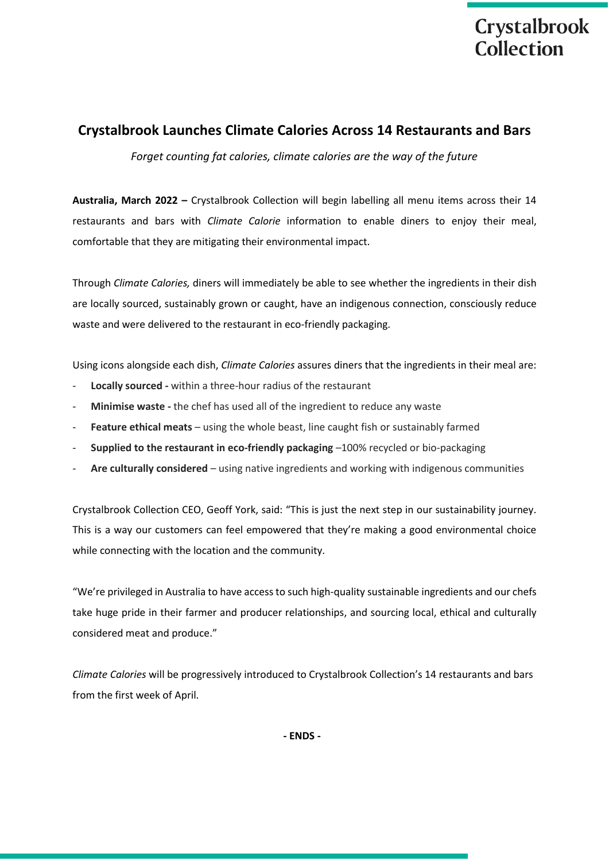

## **Crystalbrook Launches Climate Calories Across 14 Restaurants and Bars**

*Forget counting fat calories, climate calories are the way of the future* 

**Australia, March 2022 –** Crystalbrook Collection will begin labelling all menu items across their 14 restaurants and bars with *Climate Calorie* information to enable diners to enjoy their meal, comfortable that they are mitigating their environmental impact.

Through *Climate Calories,* diners will immediately be able to see whether the ingredients in their dish are locally sourced, sustainably grown or caught, have an indigenous connection, consciously reduce waste and were delivered to the restaurant in eco-friendly packaging.

Using icons alongside each dish, *Climate Calories* assures diners that the ingredients in their meal are:

- *-* **Locally sourced -** within a three-hour radius of the restaurant
- *-* **Minimise waste -** the chef has used all of the ingredient to reduce any waste
- *-* **Feature ethical meats** using the whole beast, line caught fish or sustainably farmed
- *-* **Supplied to the restaurant in eco-friendly packaging** –100% recycled or bio-packaging
- *-* **Are culturally considered** using native ingredients and working with indigenous communities

Crystalbrook Collection CEO, Geoff York, said: "This is just the next step in our sustainability journey. This is a way our customers can feel empowered that they're making a good environmental choice while connecting with the location and the community.

"We're privileged in Australia to have access to such high-quality sustainable ingredients and our chefs take huge pride in their farmer and producer relationships, and sourcing local, ethical and culturally considered meat and produce."

*Climate Calories* will be progressively introduced to Crystalbrook Collection's 14 restaurants and bars from the first week of April.

**- ENDS -**